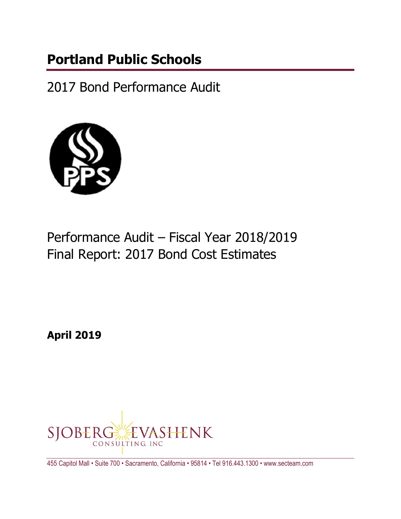# **Portland Public Schools**

2017 Bond Performance Audit



# Performance Audit – Fiscal Year 2018/2019 Final Report: 2017 Bond Cost Estimates

**April 2019**



455 Capitol Mall • Suite 700 • Sacramento, California • 95814 • Tel 916.443.1300 • www.secteam.com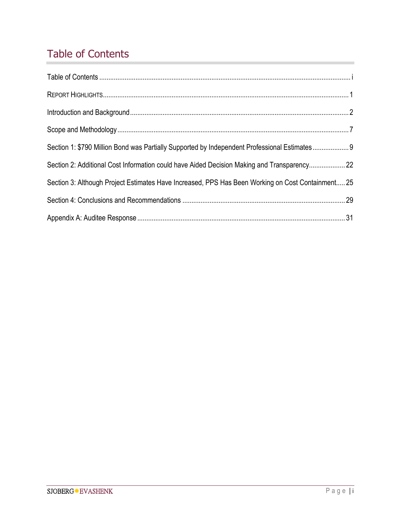## Table of Contents

| Section 1: \$790 Million Bond was Partially Supported by Independent Professional Estimates 9     |  |
|---------------------------------------------------------------------------------------------------|--|
| Section 2: Additional Cost Information could have Aided Decision Making and Transparency 22       |  |
| Section 3: Although Project Estimates Have Increased, PPS Has Been Working on Cost Containment 25 |  |
|                                                                                                   |  |
|                                                                                                   |  |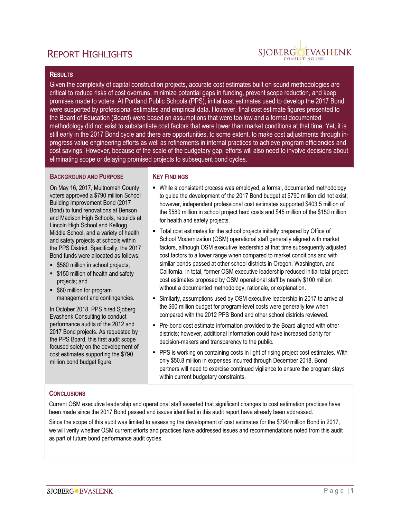## **REPORT HIGHLIGHTS**



#### **RESULTS**

Given the complexity of capital construction projects, accurate cost estimates built on sound methodologies are critical to reduce risks of cost overruns, minimize potential gaps in funding, prevent scope reduction, and keep promises made to voters. At Portland Public Schools (PPS), initial cost estimates used to develop the 2017 Bond were supported by professional estimates and empirical data. However, final cost estimate figures presented to the Board of Education (Board) were based on assumptions that were too low and a formal documented methodology did not exist to substantiate cost factors that were lower than market conditions at that time. Yet, it is still early in the 2017 Bond cycle and there are opportunities, to some extent, to make cost adjustments through inprogress value engineering efforts as well as refinements in internal practices to achieve program efficiencies and cost savings. However, because of the scale of the budgetary gap, efforts will also need to involve decisions about eliminating scope or delaying promised projects to subsequent bond cycles.

#### **BACKGROUND AND PURPOSE**

On May 16, 2017, Multnomah County voters approved a \$790 million School Building Improvement Bond (2017 Bond) to fund renovations at Benson and Madison High Schools, rebuilds at Lincoln High School and Kellogg Middle School, and a variety of health and safety projects at schools within the PPS District. Specifically, the 2017 Bond funds were allocated as follows:

- **5580 million in school projects;**
- **5150 million of health and safety** projects; and
- **560 million for program** management and contingencies.

In October 2018, PPS hired Sjoberg Evashenk Consulting to conduct performance audits of the 2012 and 2017 Bond projects. As requested by the PPS Board, this first audit scope focused solely on the development of cost estimates supporting the \$790 million bond budget figure.

#### **KEY FINDINGS**

- While a consistent process was employed, a formal, documented methodology to guide the development of the 2017 Bond budget at \$790 million did not exist; however, independent professional cost estimates supported \$403.5 million of the \$580 million in school project hard costs and \$45 million of the \$150 million for health and safety projects.
- Total cost estimates for the school projects initially prepared by Office of School Modernization (OSM) operational staff generally aligned with market factors, although OSM executive leadership at that time subsequently adjusted cost factors to a lower range when compared to market conditions and with similar bonds passed at other school districts in Oregon, Washington, and California. In total, former OSM executive leadership reduced initial total project cost estimates proposed by OSM operational staff by nearly \$100 million without a documented methodology, rationale, or explanation.
- Similarly, assumptions used by OSM executive leadership in 2017 to arrive at the \$60 million budget for program-level costs were generally low when compared with the 2012 PPS Bond and other school districts reviewed.
- Pre-bond cost estimate information provided to the Board aligned with other districts; however, additional information could have increased clarity for decision-makers and transparency to the public.
- **PPS** is working on containing costs in light of rising project cost estimates. With only \$50.8 million in expenses incurred through December 2018, Bond partners will need to exercise continued vigilance to ensure the program stays within current budgetary constraints.

#### **CONCLUSIONS**

Current OSM executive leadership and operational staff asserted that significant changes to cost estimation practices have been made since the 2017 Bond passed and issues identified in this audit report have already been addressed.

Since the scope of this audit was limited to assessing the development of cost estimates for the \$790 million Bond in 2017, we will verify whether OSM current efforts and practices have addressed issues and recommendations noted from this audit as part of future bond performance audit cycles.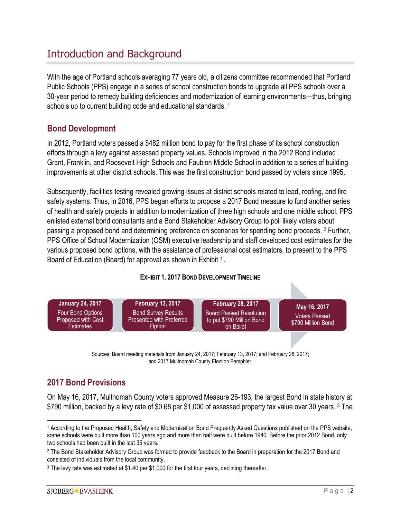## Introduction and Background

With the age of Portland schools averaging 77 years old, a citizens committee recommended that Portland Public Schools (PPS) engage in a series of school construction bonds to upgrade all PPS schools over a 30-year period to remedy building deficiencies and modernization of learning environments—thus, bringing schools up to current building code and educational standards.<sup>1</sup>

### **Bond Development**

In 2012, Portland voters passed a \$482 million bond to pay for the first phase of its school construction efforts through a levy against assessed property values. Schools improved in the 2012 Bond included Grant, Franklin, and Roosevelt High Schools and Faubion Middle School in addition to a series of building improvements at other district schools. This was the first construction bond passed by voters since 1995.

Subsequently, facilities testing revealed growing issues at district schools related to lead, roofing, and fire safety systems. Thus, in 2016, PPS began efforts to propose a 2017 Bond measure to fund another series of health and safety projects in addition to modernization of three high schools and one middle school. PPS enlisted external bond consultants and a Bond Stakeholder Advisory Group to poll likely voters about passing a proposed bond and determining preference on scenarios for spending bond proceeds. <sup>2</sup> Further, PPS Office of School Modernization (OSM) executive leadership and staff developed cost estimates for the various proposed bond options, with the assistance of professional cost estimators, to present to the PPS Board of Education (Board) for approval as shown in Exhibit 1.

#### **EXHIBIT 1. 2017 BOND DEVELOPMENT TIMELINE**



Sources: Board meeting materials from January 24, 2017; February 13, 2017; and February 28, 2017; and 2017 Multnomah County Election Pamphlet.

## **2017 Bond Provisions**

On May 16, 2017, Multnomah County voters approved Measure 26-193, the largest Bond in state history at \$790 million, backed by a levy rate of \$0.68 per \$1,000 of assessed property tax value over 30 years. <sup>3</sup> The

 <sup>1</sup> According to the Proposed Health, Safety and Modernization Bond Frequently Asked Questions published on the PPS website, some schools were built more than 100 years ago and more than half were built before 1940. Before the prior 2012 Bond, only two schools had been built in the last 35 years.

<sup>&</sup>lt;sup>2</sup> The Bond Stakeholder Advisory Group was formed to provide feedback to the Board in preparation for the 2017 Bond and consisted of individuals from the local community.

<sup>3</sup> The levy rate was estimated at \$1.40 per \$1,000 for the first four years, declining thereafter.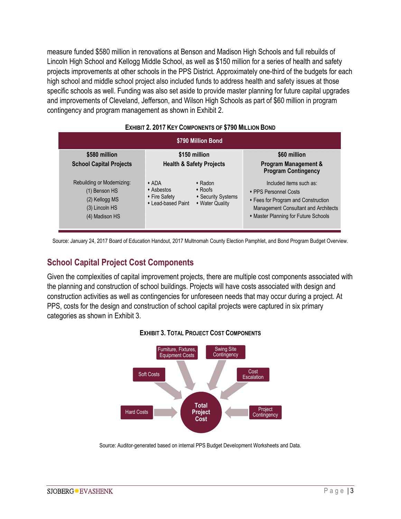measure funded \$580 million in renovations at Benson and Madison High Schools and full rebuilds of Lincoln High School and Kellogg Middle School, as well as \$150 million for a series of health and safety projects improvements at other schools in the PPS District. Approximately one-third of the budgets for each high school and middle school project also included funds to address health and safety issues at those specific schools as well. Funding was also set aside to provide master planning for future capital upgrades and improvements of Cleveland, Jefferson, and Wilson High Schools as part of \$60 million in program contingency and program management as shown in Exhibit 2.

|                                                                                                   | <b>LANDIT 2. 20 IT RET COMPONENTS OF \$1 30 MILLION DOND</b>     |                                                                         |                                                                                                                                                                                                       |
|---------------------------------------------------------------------------------------------------|------------------------------------------------------------------|-------------------------------------------------------------------------|-------------------------------------------------------------------------------------------------------------------------------------------------------------------------------------------------------|
|                                                                                                   |                                                                  | \$790 Million Bond                                                      |                                                                                                                                                                                                       |
| \$580 million<br><b>School Capital Projects</b>                                                   |                                                                  | \$150 million<br><b>Health &amp; Safety Projects</b>                    | \$60 million<br>Program Management &                                                                                                                                                                  |
| Rebuilding or Modernizing:<br>(1) Benson HS<br>(2) Kellogg MS<br>(3) Lincoln HS<br>(4) Madison HS | $\star$ ADA<br>◆ Asbestos<br>◆ Fire Safety<br>• Lead-based Paint | $\cdot$ Radon<br>$\cdot$ Roofs<br>• Security Systems<br>• Water Quality | <b>Program Contingency</b><br>Included items such as:<br>◆ PPS Personnel Costs<br>◆ Fees for Program and Construction<br>Management Consultant and Architects<br>• Master Planning for Future Schools |

#### **EXHIBIT 2. 2017 KEY COMPONENTS OF \$790 MILLION BOND**

Source: January 24, 2017 Board of Education Handout, 2017 Multnomah County Election Pamphlet, and Bond Program Budget Overview.

### **School Capital Project Cost Components**

Given the complexities of capital improvement projects, there are multiple cost components associated with the planning and construction of school buildings. Projects will have costs associated with design and construction activities as well as contingencies for unforeseen needs that may occur during a project. At PPS, costs for the design and construction of school capital projects were captured in six primary categories as shown in Exhibit 3.



#### **EXHIBIT 3. TOTAL PROJECT COST COMPONENTS**

Source: Auditor-generated based on internal PPS Budget Development Worksheets and Data.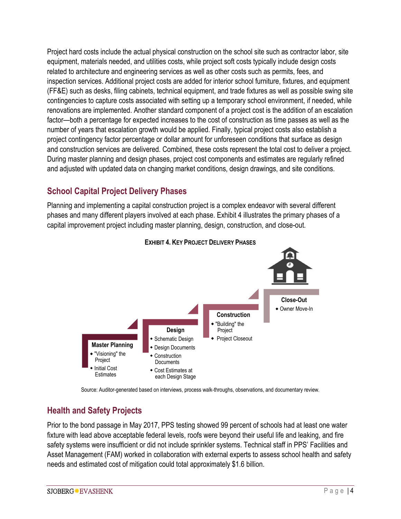Project hard costs include the actual physical construction on the school site such as contractor labor, site equipment, materials needed, and utilities costs, while project soft costs typically include design costs related to architecture and engineering services as well as other costs such as permits, fees, and inspection services. Additional project costs are added for interior school furniture, fixtures, and equipment (FF&E) such as desks, filing cabinets, technical equipment, and trade fixtures as well as possible swing site contingencies to capture costs associated with setting up a temporary school environment, if needed, while renovations are implemented. Another standard component of a project cost is the addition of an escalation factor—both a percentage for expected increases to the cost of construction as time passes as well as the number of years that escalation growth would be applied. Finally, typical project costs also establish a project contingency factor percentage or dollar amount for unforeseen conditions that surface as design and construction services are delivered. Combined, these costs represent the total cost to deliver a project. During master planning and design phases, project cost components and estimates are regularly refined and adjusted with updated data on changing market conditions, design drawings, and site conditions.

## **School Capital Project Delivery Phases**

Planning and implementing a capital construction project is a complex endeavor with several different phases and many different players involved at each phase. Exhibit 4 illustrates the primary phases of a capital improvement project including master planning, design, construction, and close-out.





Source: Auditor-generated based on interviews, process walk-throughs, observations, and documentary review.

## **Health and Safety Projects**

Prior to the bond passage in May 2017, PPS testing showed 99 percent of schools had at least one water fixture with lead above acceptable federal levels, roofs were beyond their useful life and leaking, and fire safety systems were insufficient or did not include sprinkler systems. Technical staff in PPS' Facilities and Asset Management (FAM) worked in collaboration with external experts to assess school health and safety needs and estimated cost of mitigation could total approximately \$1.6 billion.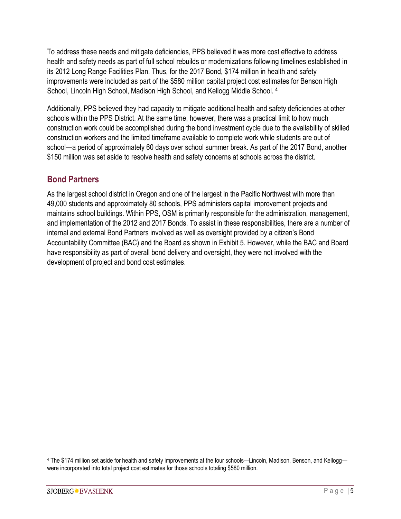To address these needs and mitigate deficiencies, PPS believed it was more cost effective to address health and safety needs as part of full school rebuilds or modernizations following timelines established in its 2012 Long Range Facilities Plan. Thus, for the 2017 Bond, \$174 million in health and safety improvements were included as part of the \$580 million capital project cost estimates for Benson High School, Lincoln High School, Madison High School, and Kellogg Middle School. <sup>4</sup>

Additionally, PPS believed they had capacity to mitigate additional health and safety deficiencies at other schools within the PPS District. At the same time, however, there was a practical limit to how much construction work could be accomplished during the bond investment cycle due to the availability of skilled construction workers and the limited timeframe available to complete work while students are out of school—a period of approximately 60 days over school summer break. As part of the 2017 Bond, another \$150 million was set aside to resolve health and safety concerns at schools across the district.

### **Bond Partners**

As the largest school district in Oregon and one of the largest in the Pacific Northwest with more than 49,000 students and approximately 80 schools, PPS administers capital improvement projects and maintains school buildings. Within PPS, OSM is primarily responsible for the administration, management, and implementation of the 2012 and 2017 Bonds. To assist in these responsibilities, there are a number of internal and external Bond Partners involved as well as oversight provided by a citizen's Bond Accountability Committee (BAC) and the Board as shown in Exhibit 5. However, while the BAC and Board have responsibility as part of overall bond delivery and oversight, they were not involved with the development of project and bond cost estimates.

 <sup>4</sup> The \$174 million set aside for health and safety improvements at the four schools—Lincoln, Madison, Benson, and Kellogg were incorporated into total project cost estimates for those schools totaling \$580 million.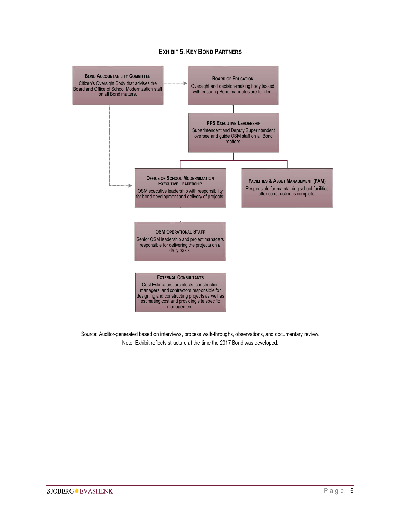#### **EXHIBIT 5. KEY BOND PARTNERS**



Source: Auditor-generated based on interviews, process walk-throughs, observations, and documentary review. Note: Exhibit reflects structure at the time the 2017 Bond was developed.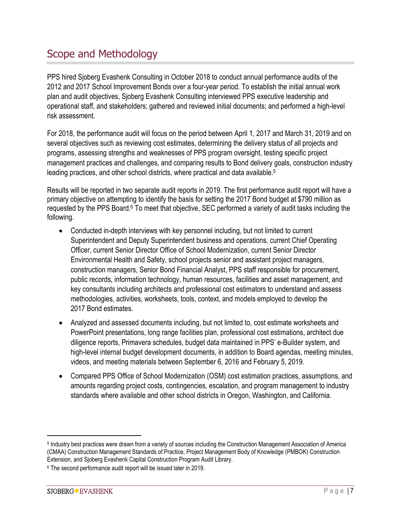## Scope and Methodology

PPS hired Sjoberg Evashenk Consulting in October 2018 to conduct annual performance audits of the 2012 and 2017 School Improvement Bonds over a four-year period. To establish the initial annual work plan and audit objectives, Sjoberg Evashenk Consulting interviewed PPS executive leadership and operational staff, and stakeholders; gathered and reviewed initial documents; and performed a high-level risk assessment.

For 2018, the performance audit will focus on the period between April 1, 2017 and March 31, 2019 and on several objectives such as reviewing cost estimates, determining the delivery status of all projects and programs, assessing strengths and weaknesses of PPS program oversight, testing specific project management practices and challenges, and comparing results to Bond delivery goals, construction industry leading practices, and other school districts, where practical and data available. 5

Results will be reported in two separate audit reports in 2019. The first performance audit report will have a primary objective on attempting to identify the basis for setting the 2017 Bond budget at \$790 million as requested by the PPS Board.<sup>6</sup> To meet that objective, SEC performed a variety of audit tasks including the following.

- Conducted in-depth interviews with key personnel including, but not limited to current Superintendent and Deputy Superintendent business and operations, current Chief Operating Officer, current Senior Director Office of School Modernization, current Senior Director Environmental Health and Safety, school projects senior and assistant project managers, construction managers, Senior Bond Financial Analyst, PPS staff responsible for procurement, public records, information technology, human resources, facilities and asset management, and key consultants including architects and professional cost estimators to understand and assess methodologies, activities, worksheets, tools, context, and models employed to develop the 2017 Bond estimates.
- Analyzed and assessed documents including, but not limited to, cost estimate worksheets and PowerPoint presentations, long range facilities plan, professional cost estimations, architect due diligence reports, Primavera schedules, budget data maintained in PPS' e-Builder system, and high-level internal budget development documents, in addition to Board agendas, meeting minutes, videos, and meeting materials between September 6, 2016 and February 5, 2019.
- Compared PPS Office of School Modernization (OSM) cost estimation practices, assumptions, and amounts regarding project costs, contingencies, escalation, and program management to industry standards where available and other school districts in Oregon, Washington, and California.

 <sup>5</sup> Industry best practices were drawn from a variety of sources including the Construction Management Association of America (CMAA) Construction Management Standards of Practice, Project Management Body of Knowledge (PMBOK) Construction Extension, and Sjoberg Evashenk Capital Construction Program Audit Library.

<sup>6</sup> The second performance audit report will be issued later in 2019.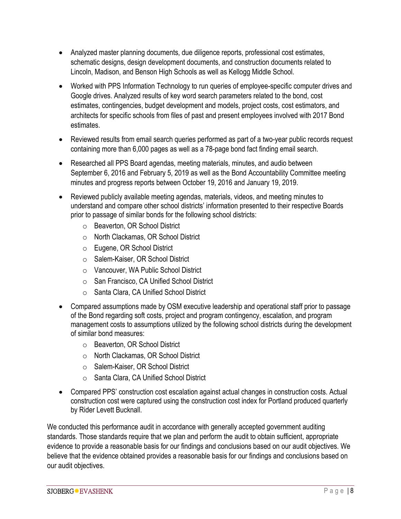- Analyzed master planning documents, due diligence reports, professional cost estimates, schematic designs, design development documents, and construction documents related to Lincoln, Madison, and Benson High Schools as well as Kellogg Middle School.
- Worked with PPS Information Technology to run queries of employee-specific computer drives and Google drives. Analyzed results of key word search parameters related to the bond, cost estimates, contingencies, budget development and models, project costs, cost estimators, and architects for specific schools from files of past and present employees involved with 2017 Bond estimates.
- Reviewed results from email search queries performed as part of a two-year public records request containing more than 6,000 pages as well as a 78-page bond fact finding email search.
- Researched all PPS Board agendas, meeting materials, minutes, and audio between September 6, 2016 and February 5, 2019 as well as the Bond Accountability Committee meeting minutes and progress reports between October 19, 2016 and January 19, 2019.
- Reviewed publicly available meeting agendas, materials, videos, and meeting minutes to understand and compare other school districts' information presented to their respective Boards prior to passage of similar bonds for the following school districts:
	- o Beaverton, OR School District
	- o North Clackamas, OR School District
	- o Eugene, OR School District
	- o Salem-Kaiser, OR School District
	- o Vancouver, WA Public School District
	- o San Francisco, CA Unified School District
	- o Santa Clara, CA Unified School District
- Compared assumptions made by OSM executive leadership and operational staff prior to passage of the Bond regarding soft costs, project and program contingency, escalation, and program management costs to assumptions utilized by the following school districts during the development of similar bond measures:
	- o Beaverton, OR School District
	- o North Clackamas, OR School District
	- o Salem-Kaiser, OR School District
	- o Santa Clara, CA Unified School District
- Compared PPS' construction cost escalation against actual changes in construction costs. Actual construction cost were captured using the construction cost index for Portland produced quarterly by Rider Levett Bucknall.

We conducted this performance audit in accordance with generally accepted government auditing standards. Those standards require that we plan and perform the audit to obtain sufficient, appropriate evidence to provide a reasonable basis for our findings and conclusions based on our audit objectives. We believe that the evidence obtained provides a reasonable basis for our findings and conclusions based on our audit objectives.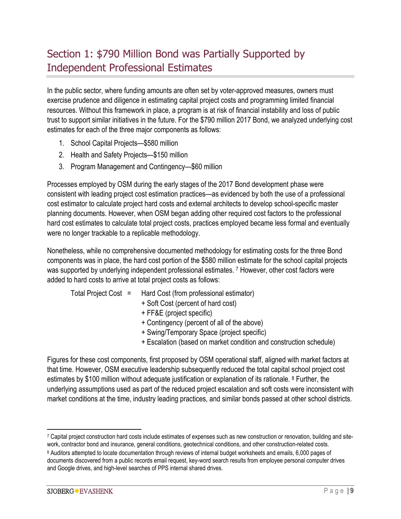## Section 1: \$790 Million Bond was Partially Supported by Independent Professional Estimates

In the public sector, where funding amounts are often set by voter-approved measures, owners must exercise prudence and diligence in estimating capital project costs and programming limited financial resources. Without this framework in place, a program is at risk of financial instability and loss of public trust to support similar initiatives in the future. For the \$790 million 2017 Bond, we analyzed underlying cost estimates for each of the three major components as follows:

- 1. School Capital Projects—\$580 million
- 2. Health and Safety Projects—\$150 million
- 3. Program Management and Contingency—\$60 million

Processes employed by OSM during the early stages of the 2017 Bond development phase were consistent with leading project cost estimation practices—as evidenced by both the use of a professional cost estimator to calculate project hard costs and external architects to develop school-specific master planning documents. However, when OSM began adding other required cost factors to the professional hard cost estimates to calculate total project costs, practices employed became less formal and eventually were no longer trackable to a replicable methodology.

Nonetheless, while no comprehensive documented methodology for estimating costs for the three Bond components was in place, the hard cost portion of the \$580 million estimate for the school capital projects was supported by underlying independent professional estimates. 7 However, other cost factors were added to hard costs to arrive at total project costs as follows:

- 
- Total Project Cost = Hard Cost (from professional estimator)
	- + Soft Cost (percent of hard cost)
	- + FF&E (project specific)
	- + Contingency (percent of all of the above)
	- + Swing/Temporary Space (project specific)
	- + Escalation (based on market condition and construction schedule)

Figures for these cost components, first proposed by OSM operational staff, aligned with market factors at that time. However, OSM executive leadership subsequently reduced the total capital school project cost estimates by \$100 million without adequate justification or explanation of its rationale. <sup>8</sup> Further, the underlying assumptions used as part of the reduced project escalation and soft costs were inconsistent with market conditions at the time, industry leading practices, and similar bonds passed at other school districts.

 <sup>7</sup> Capital project construction hard costs include estimates of expenses such as new construction or renovation, building and sitework, contractor bond and insurance, general conditions, geotechnical conditions, and other construction-related costs.

<sup>8</sup> Auditors attempted to locate documentation through reviews of internal budget worksheets and emails, 6,000 pages of documents discovered from a public records email request, key-word search results from employee personal computer drives and Google drives, and high-level searches of PPS internal shared drives.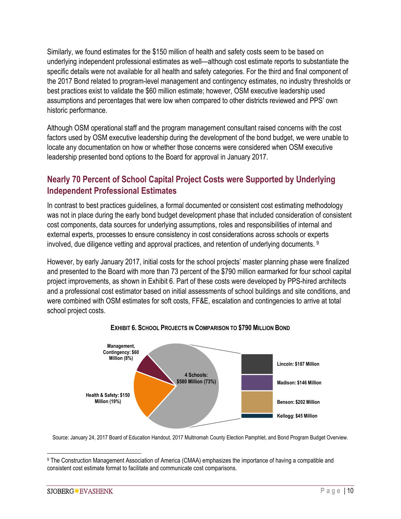Similarly, we found estimates for the \$150 million of health and safety costs seem to be based on underlying independent professional estimates as well—although cost estimate reports to substantiate the specific details were not available for all health and safety categories. For the third and final component of the 2017 Bond related to program-level management and contingency estimates, no industry thresholds or best practices exist to validate the \$60 million estimate; however, OSM executive leadership used assumptions and percentages that were low when compared to other districts reviewed and PPS' own historic performance.

Although OSM operational staff and the program management consultant raised concerns with the cost factors used by OSM executive leadership during the development of the bond budget, we were unable to locate any documentation on how or whether those concerns were considered when OSM executive leadership presented bond options to the Board for approval in January 2017.

## **Nearly 70 Percent of School Capital Project Costs were Supported by Underlying Independent Professional Estimates**

In contrast to best practices guidelines, a formal documented or consistent cost estimating methodology was not in place during the early bond budget development phase that included consideration of consistent cost components, data sources for underlying assumptions, roles and responsibilities of internal and external experts, processes to ensure consistency in cost considerations across schools or experts involved, due diligence vetting and approval practices, and retention of underlying documents. 9

However, by early January 2017, initial costs for the school projects' master planning phase were finalized and presented to the Board with more than 73 percent of the \$790 million earmarked for four school capital project improvements, as shown in Exhibit 6. Part of these costs were developed by PPS-hired architects and a professional cost estimator based on initial assessments of school buildings and site conditions, and were combined with OSM estimates for soft costs, FF&E, escalation and contingencies to arrive at total school project costs.



#### **EXHIBIT 6. SCHOOL PROJECTS IN COMPARISON TO \$790 MILLION BOND**

Source: January 24, 2017 Board of Education Handout, 2017 Multnomah County Election Pamphlet, and Bond Program Budget Overview.

 <sup>9</sup> The Construction Management Association of America (CMAA) emphasizes the importance of having a compatible and consistent cost estimate format to facilitate and communicate cost comparisons.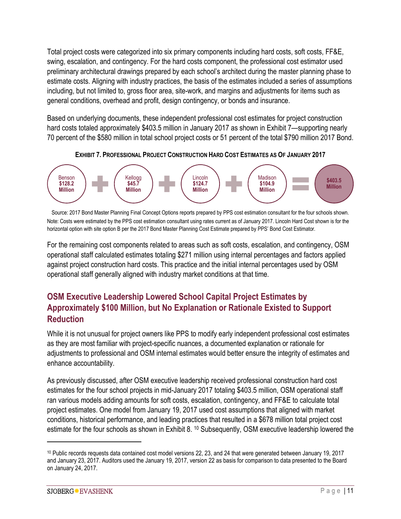Total project costs were categorized into six primary components including hard costs, soft costs, FF&E, swing, escalation, and contingency. For the hard costs component, the professional cost estimator used preliminary architectural drawings prepared by each school's architect during the master planning phase to estimate costs. Aligning with industry practices, the basis of the estimates included a series of assumptions including, but not limited to, gross floor area, site-work, and margins and adjustments for items such as general conditions, overhead and profit, design contingency, or bonds and insurance.

Based on underlying documents, these independent professional cost estimates for project construction hard costs totaled approximately \$403.5 million in January 2017 as shown in Exhibit 7—supporting nearly 70 percent of the \$580 million in total school project costs or 51 percent of the total \$790 million 2017 Bond.



**EXHIBIT 7. PROFESSIONAL PROJECT CONSTRUCTION HARD COST ESTIMATES AS OF JANUARY 2017**

Source: 2017 Bond Master Planning Final Concept Options reports prepared by PPS cost estimation consultant for the four schools shown. Note: Costs were estimated by the PPS cost estimation consultant using rates current as of January 2017. Lincoln Hard Cost shown is for the horizontal option with site option B per the 2017 Bond Master Planning Cost Estimate prepared by PPS' Bond Cost Estimator.

For the remaining cost components related to areas such as soft costs, escalation, and contingency, OSM operational staff calculated estimates totaling \$271 million using internal percentages and factors applied against project construction hard costs. This practice and the initial internal percentages used by OSM operational staff generally aligned with industry market conditions at that time.

## **OSM Executive Leadership Lowered School Capital Project Estimates by Approximately \$100 Million, but No Explanation or Rationale Existed to Support Reduction**

While it is not unusual for project owners like PPS to modify early independent professional cost estimates as they are most familiar with project-specific nuances, a documented explanation or rationale for adjustments to professional and OSM internal estimates would better ensure the integrity of estimates and enhance accountability.

As previously discussed, after OSM executive leadership received professional construction hard cost estimates for the four school projects in mid-January 2017 totaling \$403.5 million, OSM operational staff ran various models adding amounts for soft costs, escalation, contingency, and FF&E to calculate total project estimates. One model from January 19, 2017 used cost assumptions that aligned with market conditions, historical performance, and leading practices that resulted in a \$678 million total project cost estimate for the four schools as shown in Exhibit 8. <sup>10</sup> Subsequently, OSM executive leadership lowered the

 $\overline{a}$ 

<sup>10</sup> Public records requests data contained cost model versions 22, 23, and 24 that were generated between January 19, 2017 and January 23, 2017. Auditors used the January 19, 2017, version 22 as basis for comparison to data presented to the Board on January 24, 2017.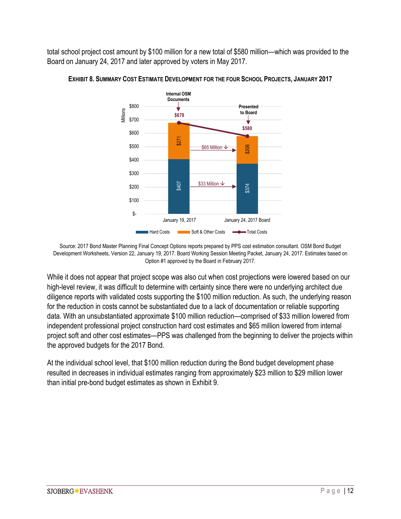total school project cost amount by \$100 million for a new total of \$580 million—which was provided to the Board on January 24, 2017 and later approved by voters in May 2017.



**EXHIBIT 8. SUMMARY COST ESTIMATE DEVELOPMENT FOR THE FOUR SCHOOL PROJECTS, JANUARY 2017**

Source: 2017 Bond Master Planning Final Concept Options reports prepared by PPS cost estimation consultant. OSM Bond Budget Development Worksheets, Version 22, January 19, 2017. Board Working Session Meeting Packet, January 24, 2017. Estimates based on Option #1 approved by the Board in February 2017.

While it does not appear that project scope was also cut when cost projections were lowered based on our high-level review, it was difficult to determine with certainty since there were no underlying architect due diligence reports with validated costs supporting the \$100 million reduction. As such, the underlying reason for the reduction in costs cannot be substantiated due to a lack of documentation or reliable supporting data. With an unsubstantiated approximate \$100 million reduction—comprised of \$33 million lowered from independent professional project construction hard cost estimates and \$65 million lowered from internal project soft and other cost estimates—PPS was challenged from the beginning to deliver the projects within the approved budgets for the 2017 Bond. soo <br>
Source: 2017 Bond Master Planning Final Concept Options reports prepare<br>
Development Worksheets, Version 22, January 19, 2017. Board Working Ses<br>
Option #1 approved by the Board in<br>
While it does not appear that proj

At the individual school level, that \$100 million reduction during the Bond budget development phase resulted in decreases in individual estimates ranging from approximately \$23 million to \$29 million lower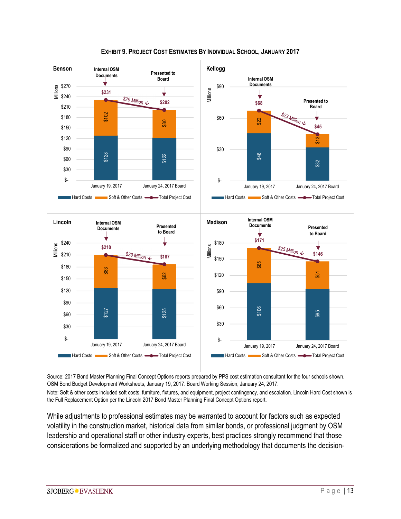

#### **EXHIBIT 9. PROJECT COST ESTIMATES BY INDIVIDUAL SCHOOL, JANUARY 2017**

Source: 2017 Bond Master Planning Final Concept Options reports prepared by PPS cost estimation consultant for the four schools shown. OSM Bond Budget Development Worksheets, January 19, 2017. Board Working Session, January 24, 2017.

Note: Soft & other costs included soft costs, furniture, fixtures, and equipment, project contingency, and escalation. Lincoln Hard Cost shown is the Full Replacement Option per the Lincoln 2017 Bond Master Planning Final Concept Options report.

While adjustments to professional estimates may be warranted to account for factors such as expected volatility in the construction market, historical data from similar bonds, or professional judgment by OSM leadership and operational staff or other industry experts, best practices strongly recommend that those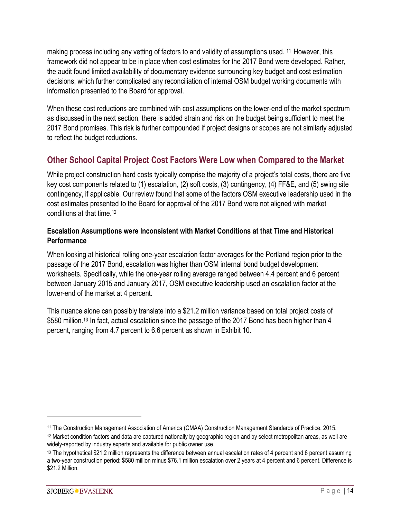making process including any vetting of factors to and validity of assumptions used. 11 However, this framework did not appear to be in place when cost estimates for the 2017 Bond were developed. Rather, the audit found limited availability of documentary evidence surrounding key budget and cost estimation decisions, which further complicated any reconciliation of internal OSM budget working documents with information presented to the Board for approval.

When these cost reductions are combined with cost assumptions on the lower-end of the market spectrum as discussed in the next section, there is added strain and risk on the budget being sufficient to meet the 2017 Bond promises. This risk is further compounded if project designs or scopes are not similarly adjusted to reflect the budget reductions.

## **Other School Capital Project Cost Factors Were Low when Compared to the Market**

While project construction hard costs typically comprise the majority of a project's total costs, there are five key cost components related to (1) escalation, (2) soft costs, (3) contingency, (4) FF&E, and (5) swing site contingency, if applicable. Our review found that some of the factors OSM executive leadership used in the cost estimates presented to the Board for approval of the 2017 Bond were not aligned with market conditions at that time. 12

#### **Escalation Assumptions were Inconsistent with Market Conditions at that Time and Historical Performance**

When looking at historical rolling one-year escalation factor averages for the Portland region prior to the passage of the 2017 Bond, escalation was higher than OSM internal bond budget development worksheets. Specifically, while the one-year rolling average ranged between 4.4 percent and 6 percent between January 2015 and January 2017, OSM executive leadership used an escalation factor at the lower-end of the market at 4 percent.

This nuance alone can possibly translate into a \$21.2 million variance based on total project costs of \$580 million. <sup>13</sup> In fact, actual escalation since the passage of the 2017 Bond has been higher than 4 percent, ranging from 4.7 percent to 6.6 percent as shown in Exhibit 10.

 $\overline{a}$ 

<sup>11</sup> The Construction Management Association of America (CMAA) Construction Management Standards of Practice, 2015.

<sup>12</sup> Market condition factors and data are captured nationally by geographic region and by select metropolitan areas, as well are widely-reported by industry experts and available for public owner use.

<sup>&</sup>lt;sup>13</sup> The hypothetical \$21.2 million represents the difference between annual escalation rates of 4 percent and 6 percent assuming a two-year construction period: \$580 million minus \$76.1 million escalation over 2 years at 4 percent and 6 percent. Difference is \$21.2 Million.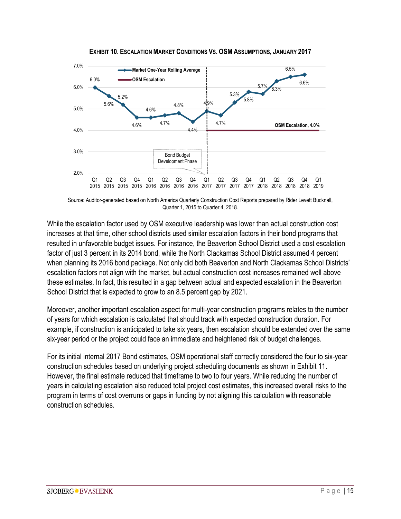

**EXHIBIT 10. ESCALATION MARKET CONDITIONS VS. OSM ASSUMPTIONS, JANUARY 2017**

Source: Auditor-generated based on North America Quarterly Construction Cost Reports prepared by Rider Levett Bucknall, Quarter 1, 2015 to Quarter 4, 2018.

While the escalation factor used by OSM executive leadership was lower than actual construction cost increases at that time, other school districts used similar escalation factors in their bond programs that resulted in unfavorable budget issues. For instance, the Beaverton School District used a cost escalation factor of just 3 percent in its 2014 bond, while the North Clackamas School District assumed 4 percent when planning its 2016 bond package. Not only did both Beaverton and North Clackamas School Districts' escalation factors not align with the market, but actual construction cost increases remained well above these estimates. In fact, this resulted in a gap between actual and expected escalation in the Beaverton School District that is expected to grow to an 8.5 percent gap by 2021.

Moreover, another important escalation aspect for multi-year construction programs relates to the number of years for which escalation is calculated that should track with expected construction duration. For example, if construction is anticipated to take six years, then escalation should be extended over the same six-year period or the project could face an immediate and heightened risk of budget challenges.

For its initial internal 2017 Bond estimates, OSM operational staff correctly considered the four to six-year construction schedules based on underlying project scheduling documents as shown in Exhibit 11. However, the final estimate reduced that timeframe to two to four years. While reducing the number of years in calculating escalation also reduced total project cost estimates, this increased overall risks to the program in terms of cost overruns or gaps in funding by not aligning this calculation with reasonable construction schedules.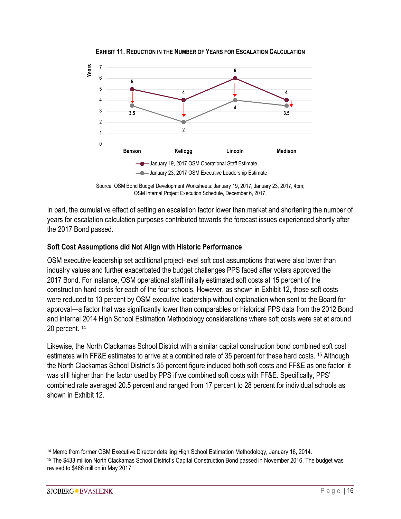

**EXHIBIT 11. REDUCTION IN THE NUMBER OF YEARS FOR ESCALATION CALCULATION** 

In part, the cumulative effect of setting an escalation factor lower than market and shortening the number of years for escalation calculation purposes contributed towards the forecast issues experienced shortly after the 2017 Bond passed.

#### **Soft Cost Assumptions did Not Align with Historic Performance**

OSM executive leadership set additional project-level soft cost assumptions that were also lower than industry values and further exacerbated the budget challenges PPS faced after voters approved the 2017 Bond. For instance, OSM operational staff initially estimated soft costs at 15 percent of the construction hard costs for each of the four schools. However, as shown in Exhibit 12, those soft costs were reduced to 13 percent by OSM executive leadership without explanation when sent to the Board for approval—a factor that was significantly lower than comparables or historical PPS data from the 2012 Bond and internal 2014 High School Estimation Methodology considerations where soft costs were set at around 20 percent. <sup>14</sup>

Likewise, the North Clackamas School District with a similar capital construction bond combined soft cost estimates with FF&E estimates to arrive at a combined rate of 35 percent for these hard costs. <sup>15</sup> Although the North Clackamas School District's 35 percent figure included both soft costs and FF&E as one factor, it was still higher than the factor used by PPS if we combined soft costs with FF&E. Specifically, PPS' combined rate averaged 20.5 percent and ranged from 17 percent to 28 percent for individual schools as shown in Exhibit 12.

Source: OSM Bond Budget Development Worksheets: January 19, 2017, January 23, 2017, 4pm; OSM Internal Project Execution Schedule, December 6, 2017.

 <sup>14</sup> Memo from former OSM Executive Director detailing High School Estimation Methodology, January 16, 2014.

<sup>15</sup> The \$433 million North Clackamas School District's Capital Construction Bond passed in November 2016. The budget was revised to \$466 million in May 2017.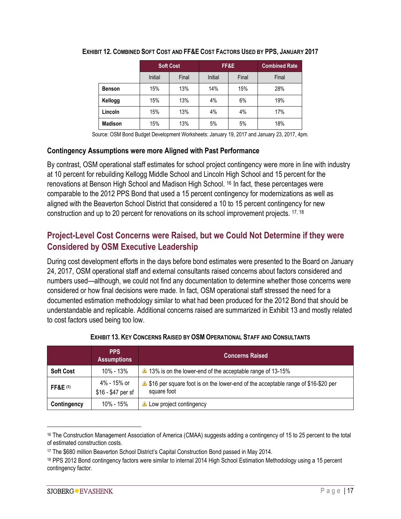|                |         | <b>Soft Cost</b> |         | FF&E  | <b>Combined Rate</b> |
|----------------|---------|------------------|---------|-------|----------------------|
|                | Initial | Final            | Initial | Final | Final                |
| <b>Benson</b>  | 15%     | 13%              | 14%     | 15%   | 28%                  |
| Kellogg        | 15%     | 13%              | 4%      | 6%    | 19%                  |
| Lincoln        | 15%     | 13%              | 4%      | 4%    | 17%                  |
| <b>Madison</b> | 15%     | 13%              | 5%      | 5%    | 18%                  |

#### **EXHIBIT 12. COMBINED SOFT COST AND FF&E COST FACTORS USED BY PPS, JANUARY 2017**

Source: OSM Bond Budget Development Worksheets: January 19, 2017 and January 23, 2017, 4pm.

#### **Contingency Assumptions were more Aligned with Past Performance**

By contrast, OSM operational staff estimates for school project contingency were more in line with industry at 10 percent for rebuilding Kellogg Middle School and Lincoln High School and 15 percent for the renovations at Benson High School and Madison High School. <sup>16</sup> In fact, these percentages were comparable to the 2012 PPS Bond that used a 15 percent contingency for modernizations as well as aligned with the Beaverton School District that considered a 10 to 15 percent contingency for new construction and up to 20 percent for renovations on its school improvement projects. 17, 18

### **Project-Level Cost Concerns were Raised, but we Could Not Determine if they were Considered by OSM Executive Leadership**

During cost development efforts in the days before bond estimates were presented to the Board on January 24, 2017, OSM operational staff and external consultants raised concerns about factors considered and numbers used—although, we could not find any documentation to determine whether those concerns were considered or how final decisions were made. In fact, OSM operational staff stressed the need for a documented estimation methodology similar to what had been produced for the 2012 Bond that should be understandable and replicable. Additional concerns raised are summarized in Exhibit 13 and mostly related to cost factors used being too low.

|                     | <b>PPS</b><br><b>Assumptions</b>  | <b>Concerns Raised</b>                                                                               |  |  |
|---------------------|-----------------------------------|------------------------------------------------------------------------------------------------------|--|--|
| <b>Soft Cost</b>    | $10\% - 13\%$                     | 13% is on the lower-end of the acceptable range of 13-15%                                            |  |  |
| <b>FF&amp;E</b> (1) | 4% - 15% or<br>\$16 - \$47 per sf | \$16,920 per square foot is on the lower-end of the acceptable range of \$16-\$20 per<br>square foot |  |  |
| Contingency         | $10\% - 15\%$                     | Low project contingency                                                                              |  |  |

| EXHIBIT 13. KEY CONCERNS RAISED BY OSM OPERATIONAL STAFF AND CONSULTANTS |  |
|--------------------------------------------------------------------------|--|
|--------------------------------------------------------------------------|--|

<sup>&</sup>lt;sup>16</sup> The Construction Management Association of America (CMAA) suggests adding a contingency of 15 to 25 percent to the total of estimated construction costs.

<sup>17</sup> The \$680 million Beaverton School District's Capital Construction Bond passed in May 2014.

<sup>18</sup> PPS 2012 Bond contingency factors were similar to internal 2014 High School Estimation Methodology using a 15 percent contingency factor.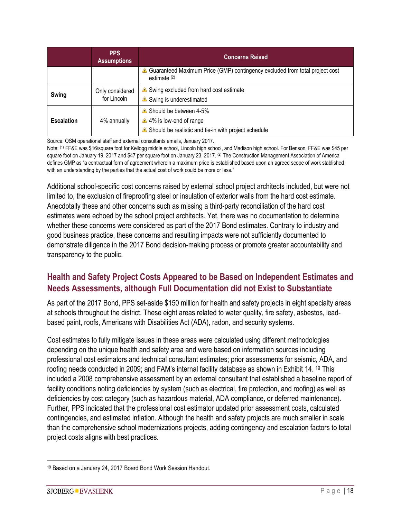|                   | <b>PPS</b><br><b>Assumptions</b> | <b>Concerns Raised</b>                                                                                   |
|-------------------|----------------------------------|----------------------------------------------------------------------------------------------------------|
|                   |                                  | Guaranteed Maximum Price (GMP) contingency excluded from total project cost<br>estimate $(2)$            |
| <b>Swing</b>      | Only considered<br>for Lincoln   | Swing excluded from hard cost estimate<br>Swing is underestimated                                        |
| <b>Escalation</b> | 4% annually                      | Should be between 4-5%<br>4% is low-end of range<br>Should be realistic and tie-in with project schedule |

Source: OSM operational staff and external consultants emails, January 2017.

Note: (1) FF&E was \$16/square foot for Kellogg middle school, Lincoln high school, and Madison high school. For Benson, FF&E was \$45 per square foot on January 19, 2017 and \$47 per square foot on January 23, 2017. (2) The Construction Management Association of America defines GMP as "a contractual form of agreement wherein a maximum price is established based upon an agreed scope of work stablished with an understanding by the parties that the actual cost of work could be more or less."

Additional school-specific cost concerns raised by external school project architects included, but were not limited to, the exclusion of fireproofing steel or insulation of exterior walls from the hard cost estimate. Anecdotally these and other concerns such as missing a third-party reconciliation of the hard cost estimates were echoed by the school project architects. Yet, there was no documentation to determine whether these concerns were considered as part of the 2017 Bond estimates. Contrary to industry and good business practice, these concerns and resulting impacts were not sufficiently documented to demonstrate diligence in the 2017 Bond decision-making process or promote greater accountability and transparency to the public.

## **Health and Safety Project Costs Appeared to be Based on Independent Estimates and Needs Assessments, although Full Documentation did not Exist to Substantiate**

As part of the 2017 Bond, PPS set-aside \$150 million for health and safety projects in eight specialty areas at schools throughout the district. These eight areas related to water quality, fire safety, asbestos, leadbased paint, roofs, Americans with Disabilities Act (ADA), radon, and security systems.

Cost estimates to fully mitigate issues in these areas were calculated using different methodologies depending on the unique health and safety area and were based on information sources including professional cost estimators and technical consultant estimates; prior assessments for seismic, ADA, and roofing needs conducted in 2009; and FAM's internal facility database as shown in Exhibit 14. <sup>19</sup> This included a 2008 comprehensive assessment by an external consultant that established a baseline report of facility conditions noting deficiencies by system (such as electrical, fire protection, and roofing) as well as deficiencies by cost category (such as hazardous material, ADA compliance, or deferred maintenance). Further, PPS indicated that the professional cost estimator updated prior assessment costs, calculated contingencies, and estimated inflation. Although the health and safety projects are much smaller in scale than the comprehensive school modernizations projects, adding contingency and escalation factors to total project costs aligns with best practices.

 <sup>19</sup> Based on a January 24, 2017 Board Bond Work Session Handout.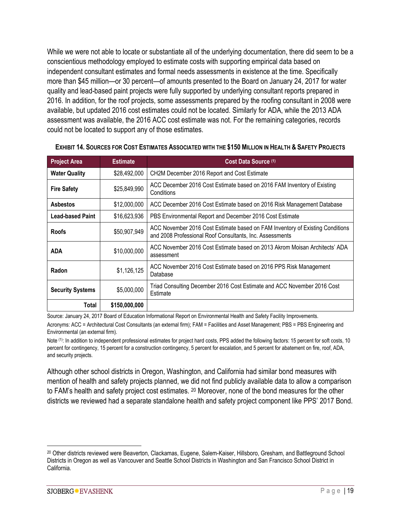While we were not able to locate or substantiate all of the underlying documentation, there did seem to be a conscientious methodology employed to estimate costs with supporting empirical data based on independent consultant estimates and formal needs assessments in existence at the time. Specifically more than \$45 million—or 30 percent—of amounts presented to the Board on January 24, 2017 for water quality and lead-based paint projects were fully supported by underlying consultant reports prepared in 2016. In addition, for the roof projects, some assessments prepared by the roofing consultant in 2008 were available, but updated 2016 cost estimates could not be located. Similarly for ADA, while the 2013 ADA assessment was available, the 2016 ACC cost estimate was not. For the remaining categories, records could not be located to support any of those estimates.

| <b>Project Area</b>     | <b>Estimate</b> | Cost Data Source (1)                                                                                                                      |  |  |
|-------------------------|-----------------|-------------------------------------------------------------------------------------------------------------------------------------------|--|--|
| <b>Water Quality</b>    | \$28,492,000    | CH2M December 2016 Report and Cost Estimate                                                                                               |  |  |
| <b>Fire Safety</b>      | \$25,849,990    | ACC December 2016 Cost Estimate based on 2016 FAM Inventory of Existing<br>Conditions                                                     |  |  |
| <b>Asbestos</b>         | \$12,000,000    | ACC December 2016 Cost Estimate based on 2016 Risk Management Database                                                                    |  |  |
| <b>Lead-based Paint</b> | \$16,623,936    | PBS Environmental Report and December 2016 Cost Estimate                                                                                  |  |  |
| <b>Roofs</b>            | \$50,907,949    | ACC November 2016 Cost Estimate based on FAM Inventory of Existing Conditions<br>and 2008 Professional Roof Consultants, Inc. Assessments |  |  |
| <b>ADA</b>              | \$10,000,000    | ACC November 2016 Cost Estimate based on 2013 Akrom Moisan Architects' ADA<br>assessment                                                  |  |  |
| Radon                   | \$1,126,125     | ACC November 2016 Cost Estimate based on 2016 PPS Risk Management<br>Database                                                             |  |  |
| <b>Security Systems</b> | \$5,000,000     | Triad Consulting December 2016 Cost Estimate and ACC November 2016 Cost<br>Estimate                                                       |  |  |
| Total                   | \$150,000,000   |                                                                                                                                           |  |  |

#### **EXHIBIT 14. SOURCES FOR COST ESTIMATES ASSOCIATED WITH THE \$150 MILLION IN HEALTH & SAFETY PROJECTS**

Source: January 24, 2017 Board of Education Informational Report on Environmental Health and Safety Facility Improvements.

Acronyms: ACC = Architectural Cost Consultants (an external firm); FAM = Facilities and Asset Management; PBS = PBS Engineering and Environmental (an external firm).

Note <sup>(1)</sup>: In addition to independent professional estimates for project hard costs, PPS added the following factors: 15 percent for soft costs, 10 percent for contingency, 15 percent for a construction contingency, 5 percent for escalation, and 5 percent for abatement on fire, roof, ADA, and security projects.

Although other school districts in Oregon, Washington, and California had similar bond measures with mention of health and safety projects planned, we did not find publicly available data to allow a comparison to FAM's health and safety project cost estimates. <sup>20</sup> Moreover, none of the bond measures for the other districts we reviewed had a separate standalone health and safety project component like PPS' 2017 Bond.

 <sup>20</sup> Other districts reviewed were Beaverton, Clackamas, Eugene, Salem-Kaiser, Hillsboro, Gresham, and Battleground School Districts in Oregon as well as Vancouver and Seattle School Districts in Washington and San Francisco School District in California.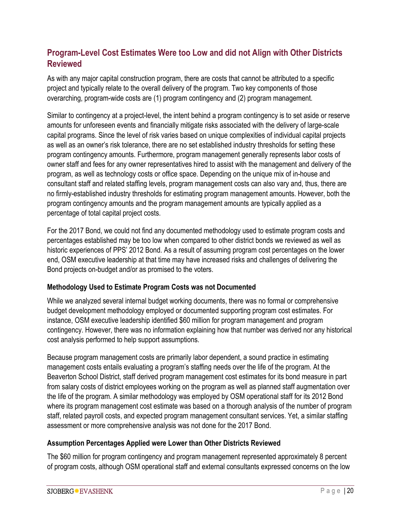## **Program-Level Cost Estimates Were too Low and did not Align with Other Districts Reviewed**

As with any major capital construction program, there are costs that cannot be attributed to a specific project and typically relate to the overall delivery of the program. Two key components of those overarching, program-wide costs are (1) program contingency and (2) program management.

Similar to contingency at a project-level, the intent behind a program contingency is to set aside or reserve amounts for unforeseen events and financially mitigate risks associated with the delivery of large-scale capital programs. Since the level of risk varies based on unique complexities of individual capital projects as well as an owner's risk tolerance, there are no set established industry thresholds for setting these program contingency amounts. Furthermore, program management generally represents labor costs of owner staff and fees for any owner representatives hired to assist with the management and delivery of the program, as well as technology costs or office space. Depending on the unique mix of in-house and consultant staff and related staffing levels, program management costs can also vary and, thus, there are no firmly-established industry thresholds for estimating program management amounts. However, both the program contingency amounts and the program management amounts are typically applied as a percentage of total capital project costs.

For the 2017 Bond, we could not find any documented methodology used to estimate program costs and percentages established may be too low when compared to other district bonds we reviewed as well as historic experiences of PPS' 2012 Bond. As a result of assuming program cost percentages on the lower end, OSM executive leadership at that time may have increased risks and challenges of delivering the Bond projects on-budget and/or as promised to the voters.

#### **Methodology Used to Estimate Program Costs was not Documented**

While we analyzed several internal budget working documents, there was no formal or comprehensive budget development methodology employed or documented supporting program cost estimates. For instance, OSM executive leadership identified \$60 million for program management and program contingency. However, there was no information explaining how that number was derived nor any historical cost analysis performed to help support assumptions.

Because program management costs are primarily labor dependent, a sound practice in estimating management costs entails evaluating a program's staffing needs over the life of the program. At the Beaverton School District, staff derived program management cost estimates for its bond measure in part from salary costs of district employees working on the program as well as planned staff augmentation over the life of the program. A similar methodology was employed by OSM operational staff for its 2012 Bond where its program management cost estimate was based on a thorough analysis of the number of program staff, related payroll costs, and expected program management consultant services. Yet, a similar staffing assessment or more comprehensive analysis was not done for the 2017 Bond.

#### **Assumption Percentages Applied were Lower than Other Districts Reviewed**

The \$60 million for program contingency and program management represented approximately 8 percent of program costs, although OSM operational staff and external consultants expressed concerns on the low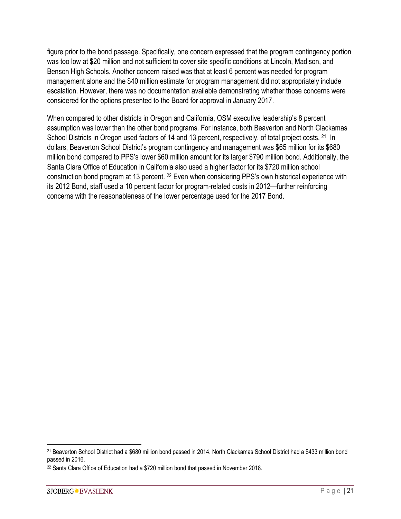figure prior to the bond passage. Specifically, one concern expressed that the program contingency portion was too low at \$20 million and not sufficient to cover site specific conditions at Lincoln, Madison, and Benson High Schools. Another concern raised was that at least 6 percent was needed for program management alone and the \$40 million estimate for program management did not appropriately include escalation. However, there was no documentation available demonstrating whether those concerns were considered for the options presented to the Board for approval in January 2017.

When compared to other districts in Oregon and California, OSM executive leadership's 8 percent assumption was lower than the other bond programs. For instance, both Beaverton and North Clackamas School Districts in Oregon used factors of 14 and 13 percent, respectively, of total project costs. <sup>21</sup> In dollars, Beaverton School District's program contingency and management was \$65 million for its \$680 million bond compared to PPS's lower \$60 million amount for its larger \$790 million bond. Additionally, the Santa Clara Office of Education in California also used a higher factor for its \$720 million school construction bond program at 13 percent. <sup>22</sup> Even when considering PPS's own historical experience with its 2012 Bond, staff used a 10 percent factor for program-related costs in 2012—further reinforcing concerns with the reasonableness of the lower percentage used for the 2017 Bond.

 <sup>21</sup> Beaverton School District had a \$680 million bond passed in 2014. North Clackamas School District had a \$433 million bond passed in 2016.

<sup>22</sup> Santa Clara Office of Education had a \$720 million bond that passed in November 2018.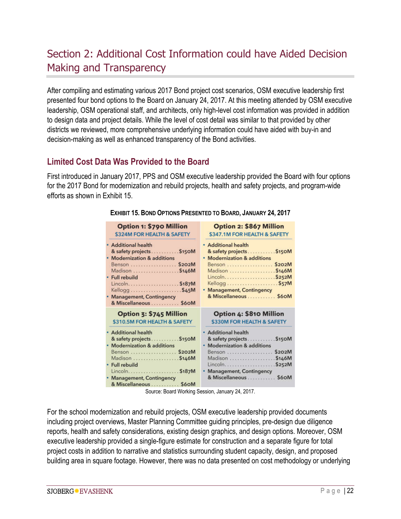## Section 2: Additional Cost Information could have Aided Decision Making and Transparency

After compiling and estimating various 2017 Bond project cost scenarios, OSM executive leadership first presented four bond options to the Board on January 24, 2017. At this meeting attended by OSM executive leadership, OSM operational staff, and architects, only high-level cost information was provided in addition to design data and project details. While the level of cost detail was similar to that provided by other districts we reviewed, more comprehensive underlying information could have aided with buy-in and decision-making as well as enhanced transparency of the Bond activities.

## **Limited Cost Data Was Provided to the Board**

First introduced in January 2017, PPS and OSM executive leadership provided the Board with four options for the 2017 Bond for modernization and rebuild projects, health and safety projects, and program-wide efforts as shown in Exhibit 15.

| Option 1: \$790 Million                                                                                                                                                                                                                               | Option 2: \$867 Million                                                                                                                                                                               |
|-------------------------------------------------------------------------------------------------------------------------------------------------------------------------------------------------------------------------------------------------------|-------------------------------------------------------------------------------------------------------------------------------------------------------------------------------------------------------|
| \$324M FOR HEALTH & SAFETY                                                                                                                                                                                                                            | \$347.1M FOR HEALTH & SAFETY                                                                                                                                                                          |
| <b>Additional health</b><br>& safety projects \$150M<br><b>Modernization &amp; additions</b><br>Benson  \$202M<br>Madison \$146M<br><b>Full rebuild</b><br>Lincoln \$187M<br>Kellogg\$45M<br><b>Management, Contingency</b><br>& Miscellaneous  \$60M | · Additional health<br>& safety projects \$150M<br><b>Modernization &amp; additions</b><br>Benson  \$202M<br>Madison \$146M<br>Lincoln\$252M<br>• Management, Contingency<br>& Miscellaneous  \$60M   |
| Option 3: \$745 Million                                                                                                                                                                                                                               | <b>Option 4: \$810 Million</b>                                                                                                                                                                        |
| \$310.5M FOR HEALTH & SAFETY                                                                                                                                                                                                                          | \$330M FOR HEALTH & SAFETY                                                                                                                                                                            |
| <b>Additional health</b><br>& safety projects \$150M<br><b>Modernization &amp; additions</b><br>Benson  \$202M<br>Madison \$146M<br><b>Full rebuild</b><br>\$187M<br>Lincoln<br><b>Management, Contingency</b><br>& Miscellaneous  \$60M              | · Additional health<br>\$150M<br>& safety projects<br>• Modernization & additions<br>\$202M<br>Benson<br>Madison \$146M<br>Lincoln<br>\$252M<br>· Management, Contingency<br>& Miscellaneous<br>\$60M |

#### **EXHIBIT 15. BOND OPTIONS PRESENTED TO BOARD, JANUARY 24, 2017**

Source: Board Working Session, January 24, 2017.

For the school modernization and rebuild projects, OSM executive leadership provided documents including project overviews, Master Planning Committee guiding principles, pre-design due diligence reports, health and safety considerations, existing design graphics, and design options. Moreover, OSM executive leadership provided a single-figure estimate for construction and a separate figure for total project costs in addition to narrative and statistics surrounding student capacity, design, and proposed building area in square footage. However, there was no data presented on cost methodology or underlying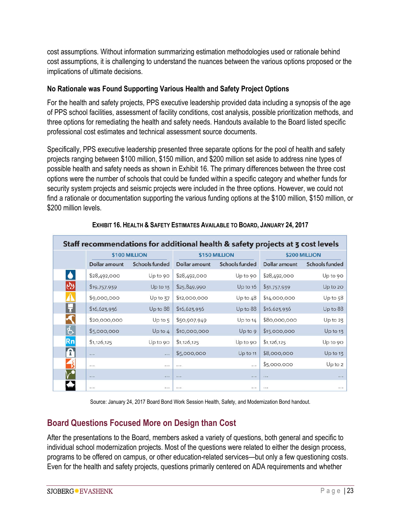cost assumptions. Without information summarizing estimation methodologies used or rationale behind cost assumptions, it is challenging to understand the nuances between the various options proposed or the implications of ultimate decisions.

#### **No Rationale was Found Supporting Various Health and Safety Project Options**

For the health and safety projects, PPS executive leadership provided data including a synopsis of the age of PPS school facilities, assessment of facility conditions, cost analysis, possible prioritization methods, and three options for remediating the health and safety needs. Handouts available to the Board listed specific professional cost estimates and technical assessment source documents.

Specifically, PPS executive leadership presented three separate options for the pool of health and safety projects ranging between \$100 million, \$150 million, and \$200 million set aside to address nine types of possible health and safety needs as shown in Exhibit 16. The primary differences between the three cost options were the number of schools that could be funded within a specific category and whether funds for security system projects and seismic projects were included in the three options. However, we could not find a rationale or documentation supporting the various funding options at the \$100 million, \$150 million, or \$200 million levels

|                      |               | \$100 MILLION  |               | \$150 MILLION  | \$200 MILLION |                |  |
|----------------------|---------------|----------------|---------------|----------------|---------------|----------------|--|
|                      | Dollar amount | Schools funded | Dollar amount | Schools funded | Dollar amount | Schools funded |  |
| $\bullet$            | \$28,492,000  | Up to 90       | \$28,492,000  | Up to 90       | \$28,492,000  | Up to 90       |  |
| $ \hat{\mathbf{w}} $ | \$19,757,939  | Up to 13       | \$25,849,990  | Up to 16       | \$31,757,939  | Up to 20       |  |
|                      | \$9,000,000   | Up to 37       | \$12,000,000  | Up to $48$     | \$14,000,000  | Up to 58       |  |
| H                    | \$16,623,936  | Up to 88       | \$16,623,936  | Up to 88       | \$16,623,936  | Up to 88       |  |
|                      | \$20,000,000  | Up to 5        | \$50,907,949  | Up to $14$     | \$80,000,000  | Up to 23       |  |
|                      | \$5,000,000   | Up to 4        | \$10,000,000  | Up to 9        | \$15,000,000  | $Up$ to 13     |  |
| Rn                   | \$1,126,125   | Up to 90       | \$1,126,125   | Up to 90       | \$1,126,125   | Up to 90       |  |
|                      | $\dddotsc$    | $\sim$         | \$5,000,000   | $Up$ to 11     | \$8,000,000   | $Up$ to 13     |  |
|                      |               | $+ + +$        | 1.1.7         | $+ 11$         | \$5,000,000   | $Up$ to $2$    |  |
|                      | $\dddotsc$    | $\dddotsc$     | $\frac{1}{2}$ | $1.1 - 1.1$    | $\cdots$      | $\ddots$       |  |
|                      |               |                | 1.1.7         |                | 1.14          |                |  |

**EXHIBIT 16. HEALTH & SAFETY ESTIMATES AVAILABLE TO BOARD, JANUARY 24, 2017**

Source: January 24, 2017 Board Bond Work Session Health, Safety, and Modernization Bond handout.

### **Board Questions Focused More on Design than Cost**

After the presentations to the Board, members asked a variety of questions, both general and specific to individual school modernization projects. Most of the questions were related to either the design process, programs to be offered on campus, or other education-related services—but only a few questioning costs. Even for the health and safety projects, questions primarily centered on ADA requirements and whether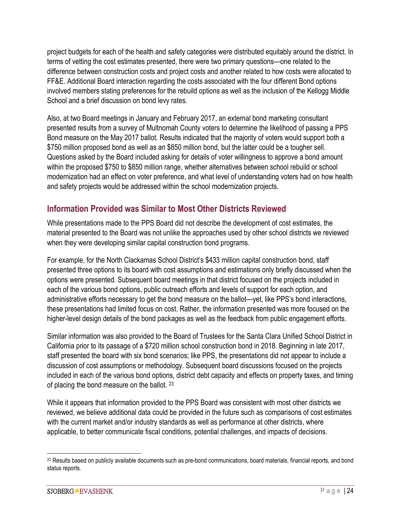project budgets for each of the health and safety categories were distributed equitably around the district. In terms of vetting the cost estimates presented, there were two primary questions—one related to the difference between construction costs and project costs and another related to how costs were allocated to FF&E. Additional Board interaction regarding the costs associated with the four different Bond options involved members stating preferences for the rebuild options as well as the inclusion of the Kellogg Middle School and a brief discussion on bond levy rates.

Also, at two Board meetings in January and February 2017, an external bond marketing consultant presented results from a survey of Multnomah County voters to determine the likelihood of passing a PPS Bond measure on the May 2017 ballot. Results indicated that the majority of voters would support both a \$750 million proposed bond as well as an \$850 million bond, but the latter could be a tougher sell. Questions asked by the Board included asking for details of voter willingness to approve a bond amount within the proposed \$750 to \$850 million range, whether alternatives between school rebuild or school modernization had an effect on voter preference, and what level of understanding voters had on how health and safety projects would be addressed within the school modernization projects.

## **Information Provided was Similar to Most Other Districts Reviewed**

While presentations made to the PPS Board did not describe the development of cost estimates, the material presented to the Board was not unlike the approaches used by other school districts we reviewed when they were developing similar capital construction bond programs.

For example, for the North Clackamas School District's \$433 million capital construction bond, staff presented three options to its board with cost assumptions and estimations only briefly discussed when the options were presented. Subsequent board meetings in that district focused on the projects included in each of the various bond options, public outreach efforts and levels of support for each option, and administrative efforts necessary to get the bond measure on the ballot—yet, like PPS's bond interactions, these presentations had limited focus on cost. Rather, the information presented was more focused on the higher-level design details of the bond packages as well as the feedback from public engagement efforts.

Similar information was also provided to the Board of Trustees for the Santa Clara Unified School District in California prior to its passage of a \$720 million school construction bond in 2018. Beginning in late 2017, staff presented the board with six bond scenarios; like PPS, the presentations did not appear to include a discussion of cost assumptions or methodology. Subsequent board discussions focused on the projects included in each of the various bond options, district debt capacity and effects on property taxes, and timing of placing the bond measure on the ballot. <sup>23</sup>

While it appears that information provided to the PPS Board was consistent with most other districts we reviewed, we believe additional data could be provided in the future such as comparisons of cost estimates with the current market and/or industry standards as well as performance at other districts, where applicable, to better communicate fiscal conditions, potential challenges, and impacts of decisions.

<sup>&</sup>lt;sup>23</sup> Results based on publicly available documents such as pre-bond communications, board materials, financial reports, and bond status reports.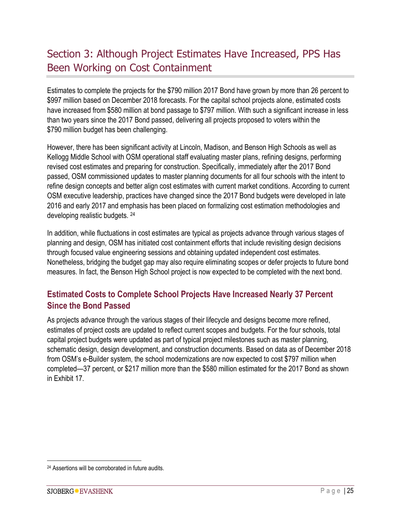## Section 3: Although Project Estimates Have Increased, PPS Has Been Working on Cost Containment

Estimates to complete the projects for the \$790 million 2017 Bond have grown by more than 26 percent to \$997 million based on December 2018 forecasts. For the capital school projects alone, estimated costs have increased from \$580 million at bond passage to \$797 million. With such a significant increase in less than two years since the 2017 Bond passed, delivering all projects proposed to voters within the \$790 million budget has been challenging.

However, there has been significant activity at Lincoln, Madison, and Benson High Schools as well as Kellogg Middle School with OSM operational staff evaluating master plans, refining designs, performing revised cost estimates and preparing for construction. Specifically, immediately after the 2017 Bond passed, OSM commissioned updates to master planning documents for all four schools with the intent to refine design concepts and better align cost estimates with current market conditions. According to current OSM executive leadership, practices have changed since the 2017 Bond budgets were developed in late 2016 and early 2017 and emphasis has been placed on formalizing cost estimation methodologies and developing realistic budgets. 24

In addition, while fluctuations in cost estimates are typical as projects advance through various stages of planning and design, OSM has initiated cost containment efforts that include revisiting design decisions through focused value engineering sessions and obtaining updated independent cost estimates. Nonetheless, bridging the budget gap may also require eliminating scopes or defer projects to future bond measures. In fact, the Benson High School project is now expected to be completed with the next bond.

## **Estimated Costs to Complete School Projects Have Increased Nearly 37 Percent Since the Bond Passed**

As projects advance through the various stages of their lifecycle and designs become more refined, estimates of project costs are updated to reflect current scopes and budgets. For the four schools, total capital project budgets were updated as part of typical project milestones such as master planning, schematic design, design development, and construction documents. Based on data as of December 2018 from OSM's e-Builder system, the school modernizations are now expected to cost \$797 million when completed—37 percent, or \$217 million more than the \$580 million estimated for the 2017 Bond as shown in Exhibit 17.

 <sup>24</sup> Assertions will be corroborated in future audits.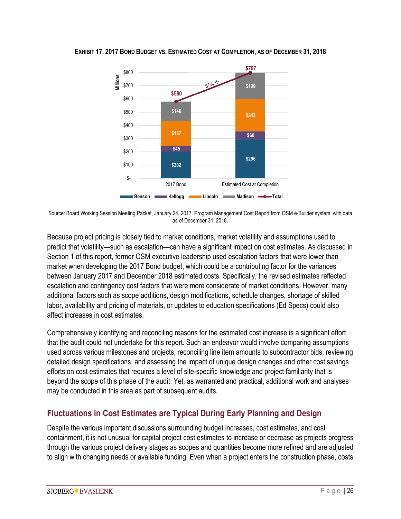

**EXHIBIT 17. 2017 BOND BUDGET VS. ESTIMATED COST AT COMPLETION, AS OF DECEMBER 31, 2018**

Source: Board Working Session Meeting Packet, January 24, 2017. Program Management Cost Report from OSM e-Builder system, with data as of December 31, 2018.

Because project pricing is closely tied to market conditions, market volatility and assumptions used to predict that volatility—such as escalation—can have a significant impact on cost estimates. As discussed in Section 1 of this report, former OSM executive leadership used escalation factors that were lower than market when developing the 2017 Bond budget, which could be a contributing factor for the variances between January 2017 and December 2018 estimated costs. Specifically, the revised estimates reflected escalation and contingency cost factors that were more considerate of market conditions. However, many additional factors such as scope additions, design modifications, schedule changes, shortage of skilled labor, availability and pricing of materials, or updates to education specifications (Ed Specs) could also affect increases in cost estimates.

Comprehensively identifying and reconciling reasons for the estimated cost increase is a significant effort that the audit could not undertake for this report. Such an endeavor would involve comparing assumptions used across various milestones and projects, reconciling line item amounts to subcontractor bids, reviewing detailed design specifications, and assessing the impact of unique design changes and other cost savings efforts on cost estimates that requires a level of site-specific knowledge and project familiarity that is beyond the scope of this phase of the audit. Yet, as warranted and practical, additional work and analyses may be conducted in this area as part of subsequent audits.

### **Fluctuations in Cost Estimates are Typical During Early Planning and Design**

Despite the various important discussions surrounding budget increases, cost estimates, and cost containment, it is not unusual for capital project cost estimates to increase or decrease as projects progress through the various project delivery stages as scopes and quantities become more refined and are adjusted to align with changing needs or available funding. Even when a project enters the construction phase, costs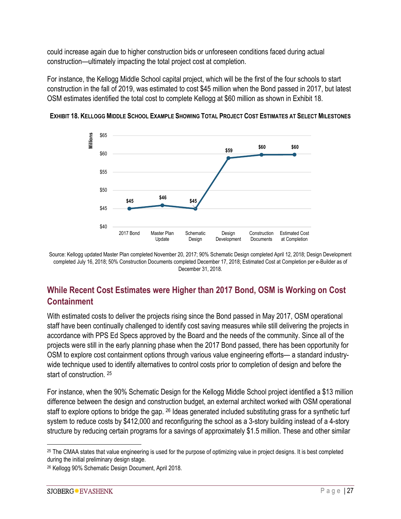could increase again due to higher construction bids or unforeseen conditions faced during actual construction—ultimately impacting the total project cost at completion.

For instance, the Kellogg Middle School capital project, which will be the first of the four schools to start construction in the fall of 2019, was estimated to cost \$45 million when the Bond passed in 2017, but latest OSM estimates identified the total cost to complete Kellogg at \$60 million as shown in Exhibit 18.



**EXHIBIT 18. KELLOGG MIDDLE SCHOOL EXAMPLE SHOWING TOTAL PROJECT COST ESTIMATES AT SELECT MILESTONES** 

Source: Kellogg updated Master Plan completed November 20, 2017; 90% Schematic Design completed April 12, 2018; Design Development completed July 16, 2018; 50% Construction Documents completed December 17, 2018; Estimated Cost at Completion per e-Builder as of December 31, 2018.

## **While Recent Cost Estimates were Higher than 2017 Bond, OSM is Working on Cost Containment**

With estimated costs to deliver the projects rising since the Bond passed in May 2017, OSM operational staff have been continually challenged to identify cost saving measures while still delivering the projects in accordance with PPS Ed Specs approved by the Board and the needs of the community. Since all of the projects were still in the early planning phase when the 2017 Bond passed, there has been opportunity for OSM to explore cost containment options through various value engineering efforts— a standard industrywide technique used to identify alternatives to control costs prior to completion of design and before the start of construction. 25

For instance, when the 90% Schematic Design for the Kellogg Middle School project identified a \$13 million difference between the design and construction budget, an external architect worked with OSM operational staff to explore options to bridge the gap. <sup>26</sup> Ideas generated included substituting grass for a synthetic turf system to reduce costs by \$412,000 and reconfiguring the school as a 3-story building instead of a 4-story structure by reducing certain programs for a savings of approximately \$1.5 million. These and other similar

 <sup>25</sup> The CMAA states that value engineering is used for the purpose of optimizing value in project designs. It is best completed during the initial preliminary design stage.

<sup>26</sup> Kellogg 90% Schematic Design Document, April 2018.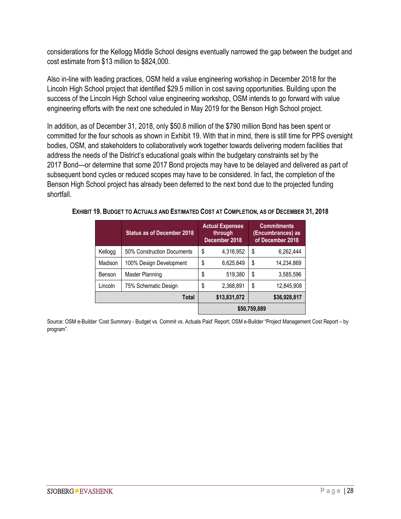considerations for the Kellogg Middle School designs eventually narrowed the gap between the budget and cost estimate from \$13 million to \$824,000.

Also in-line with leading practices, OSM held a value engineering workshop in December 2018 for the Lincoln High School project that identified \$29.5 million in cost saving opportunities. Building upon the success of the Lincoln High School value engineering workshop, OSM intends to go forward with value engineering efforts with the next one scheduled in May 2019 for the Benson High School project.

In addition, as of December 31, 2018, only \$50.8 million of the \$790 million Bond has been spent or committed for the four schools as shown in Exhibit 19. With that in mind, there is still time for PPS oversight bodies, OSM, and stakeholders to collaboratively work together towards delivering modern facilities that address the needs of the District's educational goals within the budgetary constraints set by the 2017 Bond—or determine that some 2017 Bond projects may have to be delayed and delivered as part of subsequent bond cycles or reduced scopes may have to be considered. In fact, the completion of the Benson High School project has already been deferred to the next bond due to the projected funding shortfall.

|         | <b>Status as of December 2018</b> | <b>Actual Expenses</b><br>through<br>December 2018 |              | <b>Commitments</b><br>(Encumbrances) as<br>of December 2018 |
|---------|-----------------------------------|----------------------------------------------------|--------------|-------------------------------------------------------------|
| Kellogg | 50% Construction Documents        | \$<br>4,316,952                                    | \$           | 6,262,444                                                   |
| Madison | 100% Design Development           | \$<br>6,625,849                                    | \$           | 14,234,869                                                  |
| Benson  | Master Planning                   | \$<br>519,380                                      | \$           | 3,585,596                                                   |
| Lincoln | 75% Schematic Design              | \$<br>2,368,891                                    | \$           | 12,845,908                                                  |
|         | Total                             | \$13,831,072                                       |              | \$36,928,817                                                |
|         |                                   |                                                    | \$50,759,889 |                                                             |

**EXHIBIT 19. BUDGET TO ACTUALS AND ESTIMATED COST AT COMPLETION, AS OF DECEMBER 31, 2018**

Source: OSM e-Builder 'Cost Summary - Budget vs. Commit vs. Actuals Paid' Report; OSM e-Builder "Project Management Cost Report – by program".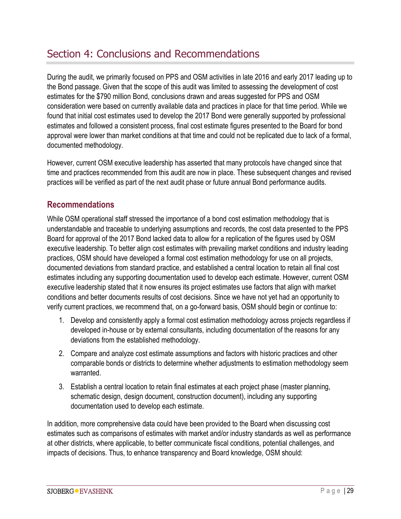## Section 4: Conclusions and Recommendations

During the audit, we primarily focused on PPS and OSM activities in late 2016 and early 2017 leading up to the Bond passage. Given that the scope of this audit was limited to assessing the development of cost estimates for the \$790 million Bond, conclusions drawn and areas suggested for PPS and OSM consideration were based on currently available data and practices in place for that time period. While we found that initial cost estimates used to develop the 2017 Bond were generally supported by professional estimates and followed a consistent process, final cost estimate figures presented to the Board for bond approval were lower than market conditions at that time and could not be replicated due to lack of a formal, documented methodology.

However, current OSM executive leadership has asserted that many protocols have changed since that time and practices recommended from this audit are now in place. These subsequent changes and revised practices will be verified as part of the next audit phase or future annual Bond performance audits.

## **Recommendations**

While OSM operational staff stressed the importance of a bond cost estimation methodology that is understandable and traceable to underlying assumptions and records, the cost data presented to the PPS Board for approval of the 2017 Bond lacked data to allow for a replication of the figures used by OSM executive leadership. To better align cost estimates with prevailing market conditions and industry leading practices, OSM should have developed a formal cost estimation methodology for use on all projects, documented deviations from standard practice, and established a central location to retain all final cost estimates including any supporting documentation used to develop each estimate. However, current OSM executive leadership stated that it now ensures its project estimates use factors that align with market conditions and better documents results of cost decisions. Since we have not yet had an opportunity to verify current practices, we recommend that, on a go-forward basis, OSM should begin or continue to:

- 1. Develop and consistently apply a formal cost estimation methodology across projects regardless if developed in-house or by external consultants, including documentation of the reasons for any deviations from the established methodology.
- 2. Compare and analyze cost estimate assumptions and factors with historic practices and other comparable bonds or districts to determine whether adjustments to estimation methodology seem warranted.
- 3. Establish a central location to retain final estimates at each project phase (master planning, schematic design, design document, construction document), including any supporting documentation used to develop each estimate.

In addition, more comprehensive data could have been provided to the Board when discussing cost estimates such as comparisons of estimates with market and/or industry standards as well as performance at other districts, where applicable, to better communicate fiscal conditions, potential challenges, and impacts of decisions. Thus, to enhance transparency and Board knowledge, OSM should: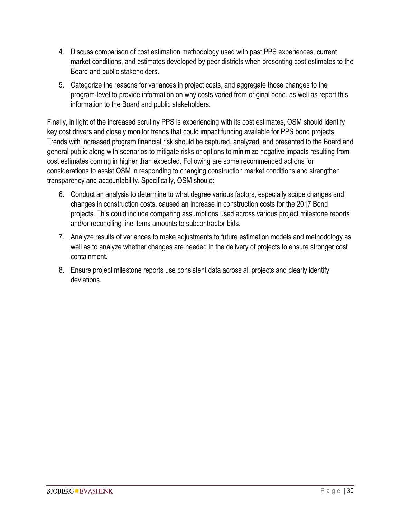- 4. Discuss comparison of cost estimation methodology used with past PPS experiences, current market conditions, and estimates developed by peer districts when presenting cost estimates to the Board and public stakeholders.
- 5. Categorize the reasons for variances in project costs, and aggregate those changes to the program-level to provide information on why costs varied from original bond, as well as report this information to the Board and public stakeholders.

Finally, in light of the increased scrutiny PPS is experiencing with its cost estimates, OSM should identify key cost drivers and closely monitor trends that could impact funding available for PPS bond projects. Trends with increased program financial risk should be captured, analyzed, and presented to the Board and general public along with scenarios to mitigate risks or options to minimize negative impacts resulting from cost estimates coming in higher than expected. Following are some recommended actions for considerations to assist OSM in responding to changing construction market conditions and strengthen transparency and accountability. Specifically, OSM should:

- 6. Conduct an analysis to determine to what degree various factors, especially scope changes and changes in construction costs, caused an increase in construction costs for the 2017 Bond projects. This could include comparing assumptions used across various project milestone reports and/or reconciling line items amounts to subcontractor bids.
- 7. Analyze results of variances to make adjustments to future estimation models and methodology as well as to analyze whether changes are needed in the delivery of projects to ensure stronger cost containment.
- 8. Ensure project milestone reports use consistent data across all projects and clearly identify deviations.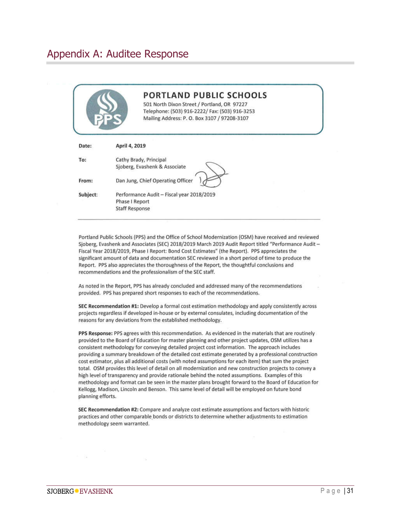## Appendix A: Auditee Response

|          | <b>PORTLAND PUBLIC SCHOOLS</b><br>501 North Dixon Street / Portland, OR 97227<br>Telephone: (503) 916-2222/ Fax: (503) 916-3253<br>Mailing Address: P. O. Box 3107 / 97208-3107 |
|----------|---------------------------------------------------------------------------------------------------------------------------------------------------------------------------------|
| Date:    | April 4, 2019                                                                                                                                                                   |
| To:      | Cathy Brady, Principal<br>Sjoberg, Evashenk & Associate                                                                                                                         |
| From:    | Dan Jung, Chief Operating Officer                                                                                                                                               |
| Subject: | Performance Audit - Fiscal year 2018/2019<br>Phase I Report<br><b>Staff Response</b>                                                                                            |

Portland Public Schools (PPS) and the Office of School Modernization (OSM) have received and reviewed Sjoberg, Evashenk and Associates (SEC) 2018/2019 March 2019 Audit Report titled "Performance Audit-Fiscal Year 2018/2019, Phase I Report: Bond Cost Estimates" (the Report). PPS appreciates the significant amount of data and documentation SEC reviewed in a short period of time to produce the Report. PPS also appreciates the thoroughness of the Report, the thoughtful conclusions and recommendations and the professionalism of the SEC staff.

As noted in the Report, PPS has already concluded and addressed many of the recommendations provided. PPS has prepared short responses to each of the recommendations.

SEC Recommendation #1: Develop a formal cost estimation methodology and apply consistently across projects regardless if developed in-house or by external consulates, including documentation of the reasons for any deviations from the established methodology.

PPS Response: PPS agrees with this recommendation. As evidenced in the materials that are routinely provided to the Board of Education for master planning and other project updates, OSM utilizes has a consistent methodology for conveying detailed project cost information. The approach includes providing a summary breakdown of the detailed cost estimate generated by a professional construction cost estimator, plus all additional costs (with noted assumptions for each item) that sum the project total. OSM provides this level of detail on all modernization and new construction projects to convey a high level of transparency and provide rationale behind the noted assumptions. Examples of this methodology and format can be seen in the master plans brought forward to the Board of Education for Kellogg, Madison, Lincoln and Benson. This same level of detail will be employed on future bond planning efforts.

SEC Recommendation #2: Compare and analyze cost estimate assumptions and factors with historic practices and other comparable bonds or districts to determine whether adjustments to estimation methodology seem warranted.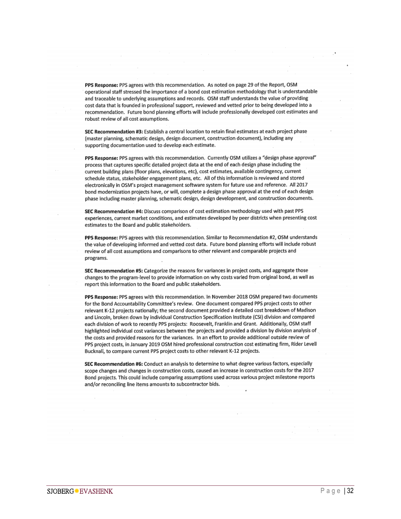PPS Response: PPS agrees with this recommendation. As noted on page 29 of the Report, OSM operational staff stressed the importance of a bond cost estimation methodology that is understandable and traceable to underlying assumptions and records. OSM staff understands the value of providing cost data that is founded in professional support, reviewed and vetted prior to being developed into a recommendation. Future bond planning efforts will include professionally developed cost estimates and robust review of all cost assumptions.

SEC Recommendation #3: Establish a central location to retain final estimates at each project phase (master planning, schematic design, design document, construction document), including any supporting documentation used to develop each estimate.

PPS Response: PPS agrees with this recommendation. Currently OSM utilizes a "design phase approval" process that captures specific detailed project data at the end of each design phase including the current building plans (floor plans, elevations, etc), cost estimates, available contingency, current schedule status, stakeholder engagement plans, etc. All of this information is reviewed and stored electronically in OSM's project management software system for future use and reference. All 2017 bond modernization projects have, or will, complete a design phase approval at the end of each design phase including master planning, schematic design, design development, and construction documents.

SEC Recommendation #4: Discuss comparison of cost estimation methodology used with past PPS experiences, current market conditions, and estimates developed by peer districts when presenting cost estimates to the Board and public stakeholders.

PPS Response: PPS agrees with this recommendation. Similar to Recommendation #2, OSM understands the value of developing informed and vetted cost data. Future bond planning efforts will include robust review of all cost assumptions and comparisons to other relevant and comparable projects and programs.

SEC Recommendation #5: Categorize the reasons for variances in project costs, and aggregate those changes to the program-level to provide information on why costs varied from original bond, as well as report this information to the Board and public stakeholders.

PPS Response: PPS agrees with this recommendation. In November 2018 OSM prepared two documents for the Bond Accountability Committee's review. One document compared PPS project costs to other relevant K-12 projects nationally; the second document provided a detailed cost breakdown of Madison and Lincoln, broken down by individual Construction Specification Institute (CSI) division and compared each division of work to recently PPS projects: Roosevelt, Franklin and Grant. Additionally, OSM staff highlighted individual cost variances between the projects and provided a division by division analysis of the costs and provided reasons for the variances. In an effort to provide additional outside review of PPS project costs, in January 2019 OSM hired professional construction cost estimating firm, Rider Levell Bucknall, to compare current PPS project costs to other relevant K-12 projects.

SEC Recommendation #6: Conduct an analysis to determine to what degree various factors, especially scope changes and changes in construction costs, caused an increase in construction costs for the 2017 Bond projects. This could include comparing assumptions used across various project milestone reports and/or reconciling line items amounts to subcontractor bids.